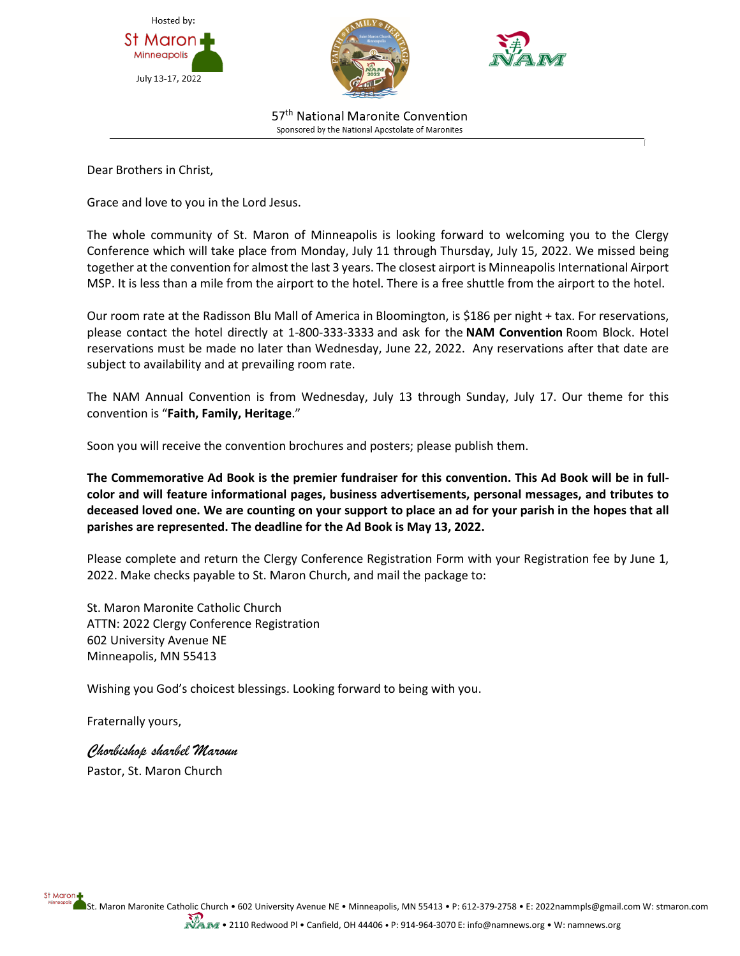





57<sup>th</sup> National Maronite Convention Sponsored by the National Apostolate of Maronites

Dear Brothers in Christ,

Grace and love to you in the Lord Jesus.

The whole community of St. Maron of Minneapolis is looking forward to welcoming you to the Clergy Conference which will take place from Monday, July 11 through Thursday, July 15, 2022. We missed being together at the convention for almost the last 3 years. The closest airport is Minneapolis International Airport MSP. It is less than a mile from the airport to the hotel. There is a free shuttle from the airport to the hotel.

Our room rate at the Radisson Blu Mall of America in Bloomington, is \$186 per night + tax. For reservations, please contact the hotel directly at 1-800-333-3333 and ask for the **NAM Convention** Room Block. Hotel reservations must be made no later than Wednesday, June 22, 2022. Any reservations after that date are subject to availability and at prevailing room rate.

The NAM Annual Convention is from Wednesday, July 13 through Sunday, July 17. Our theme for this convention is "**Faith, Family, Heritage**."

Soon you will receive the convention brochures and posters; please publish them.

**The Commemorative Ad Book is the premier fundraiser for this convention. This Ad Book will be in fullcolor and will feature informational pages, business advertisements, personal messages, and tributes to deceased loved one. We are counting on your support to place an ad for your parish in the hopes that all parishes are represented. The deadline for the Ad Book is May 13, 2022.**

Please complete and return the Clergy Conference Registration Form with your Registration fee by June 1, 2022. Make checks payable to St. Maron Church, and mail the package to:

St. Maron Maronite Catholic Church ATTN: 2022 Clergy Conference Registration 602 University Avenue NE Minneapolis, MN 55413

Wishing you God's choicest blessings. Looking forward to being with you.

Fraternally yours,

St Maron

*Chorbishop sharbel Maroun* Pastor, St. Maron Church